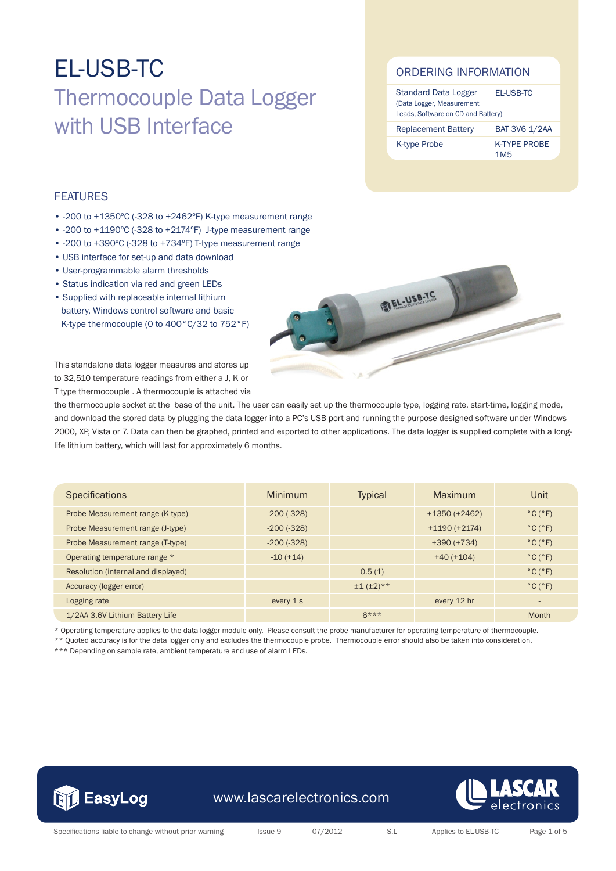#### ORDERING INFORMATION

| <b>Standard Data Logger</b><br>(Data Logger, Measurement<br>Leads, Software on CD and Battery) | EL-USB-TC                       |
|------------------------------------------------------------------------------------------------|---------------------------------|
| <b>Replacement Battery</b>                                                                     | <b>BAT 3V6 1/2AA</b>            |
| <b>K-type Probe</b>                                                                            | K-TYPE PROBE<br>1M <sub>5</sub> |

#### FEATURES

- -200 to +1350ºC (-328 to +2462ºF) K-type measurement range
- -200 to +1190ºC (-328 to +2174ºF) J-type measurement range
- -200 to +390ºC (-328 to +734ºF) T-type measurement range
- USB interface for set-up and data download
- User-programmable alarm thresholds
- Status indication via red and green LEDs
- Supplied with replaceable internal lithium battery, Windows control software and basic K-type thermocouple (0 to 400°C/32 to 752°F)



This standalone data logger measures and stores up to 32,510 temperature readings from either a J, K or T type thermocouple . A thermocouple is attached via

the thermocouple socket at the base of the unit. The user can easily set up the thermocouple type, logging rate, start-time, logging mode, and download the stored data by plugging the data logger into a PC's USB port and running the purpose designed software under Windows 2000, XP, Vista or 7. Data can then be graphed, printed and exported to other applications. The data logger is supplied complete with a longlife lithium battery, which will last for approximately 6 months.

| <b>Specifications</b>               | Minimum       | Typical    | Maximum         | Unit                         |
|-------------------------------------|---------------|------------|-----------------|------------------------------|
| Probe Measurement range (K-type)    | $-200 (-328)$ |            | $+1350 (+2462)$ | $^{\circ}$ C ( $^{\circ}$ F) |
| Probe Measurement range (J-type)    | $-200 (-328)$ |            | $+1190 (+2174)$ | $^{\circ}$ C $(^{\circ}$ F)  |
| Probe Measurement range (T-type)    | $-200 (-328)$ |            | $+390 (+734)$   | $^{\circ}$ C ( $^{\circ}$ F) |
| Operating temperature range *       | $-10 (+14)$   |            | $+40 (+104)$    | $^{\circ}$ C $(^{\circ}$ F)  |
| Resolution (internal and displayed) |               | 0.5(1)     |                 | $^{\circ}$ C ( $^{\circ}$ F) |
| Accuracy (logger error)             |               | $±1(±2)**$ |                 | $^{\circ}$ C ( $^{\circ}$ F) |
| Logging rate                        | every 1 s     |            | every 12 hr     | $\overline{\phantom{a}}$     |
| 1/2AA 3.6V Lithium Battery Life     |               | $6***$     |                 | Month                        |

\* Operating temperature applies to the data logger module only. Please consult the probe manufacturer for operating temperature of thermocouple.

\*\* Quoted accuracy is for the data logger only and excludes the thermocouple probe. Thermocouple error should also be taken into consideration.

\*\*\* Depending on sample rate, ambient temperature and use of alarm LEDs.



www.lascarelectronics.com



Specifications liable to change without prior warning Issue 9 07/2012 S.L Applies to EL-USB-TC Page 1 of 5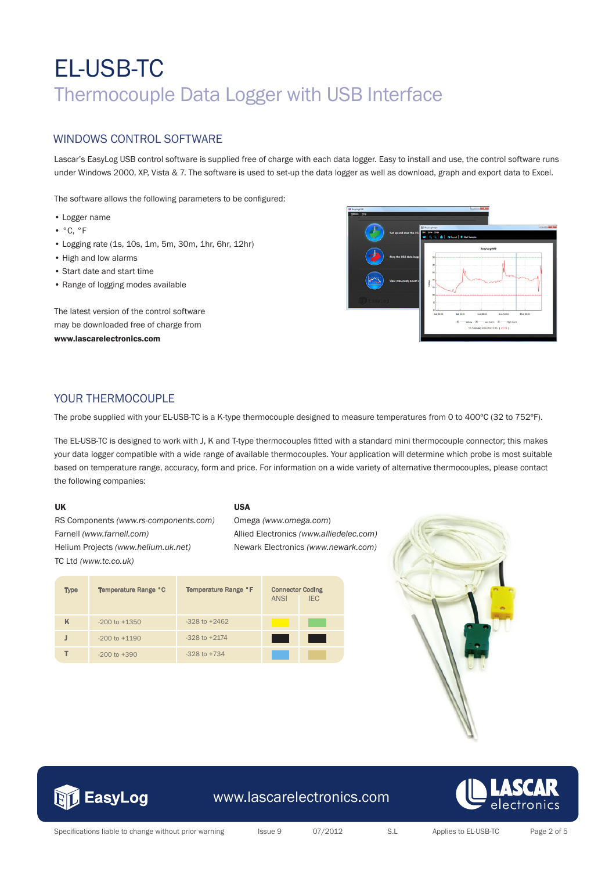### WINDOWS CONTROL SOFTWARE

Lascar's EasyLog USB control software is supplied free of charge with each data logger. Easy to install and use, the control software runs under Windows 2000, XP, Vista & 7. The software is used to set-up the data logger as well as download, graph and export data to Excel.

The software allows the following parameters to be configured:

- Logger name
- °C, °F
- Logging rate (1s, 10s, 1m, 5m, 30m, 1hr, 6hr, 12hr)
- High and low alarms
- Start date and start time
- Range of logging modes available

The latest version of the control software may be downloaded free of charge from www.lascarelectronics.com



### YOUR THERMOCOUPLE

The probe supplied with your EL-USB-TC is a K-type thermocouple designed to measure temperatures from 0 to 400ºC (32 to 752ºF).

The EL-USB-TC is designed to work with J, K and T-type thermocouples fitted with a standard mini thermocouple connector; this makes your data logger compatible with a wide range of available thermocouples. Your application will determine which probe is most suitable based on temperature range, accuracy, form and price. For information on a wide variety of alternative thermocouples, please contact the following companies:

#### UK

RS Components *(www.rs-components.com)* Farnell *(www.farnell.com)* Helium Projects *(www.helium.uk.net)* TC Ltd *(www.tc.co.uk)* 

#### USA

Omega *(www.omega.com*) Allied Electronics *(www.alliedelec.com)* Newark Electronics *(www.newark.com)*

| <b>Type</b> | Temperature Range °C | Temperature Range °F | <b>Connector Coding</b><br><b>IEC</b><br><b>ANSI</b> |  |
|-------------|----------------------|----------------------|------------------------------------------------------|--|
| K           | $-200$ to $+1350$    | $-328$ to $+2462$    |                                                      |  |
|             | $-200$ to $+1190$    | $-328$ to $+2174$    |                                                      |  |
|             | $-200$ to $+390$     | $-328$ to $+734$     |                                                      |  |





### www.lascarelectronics.com

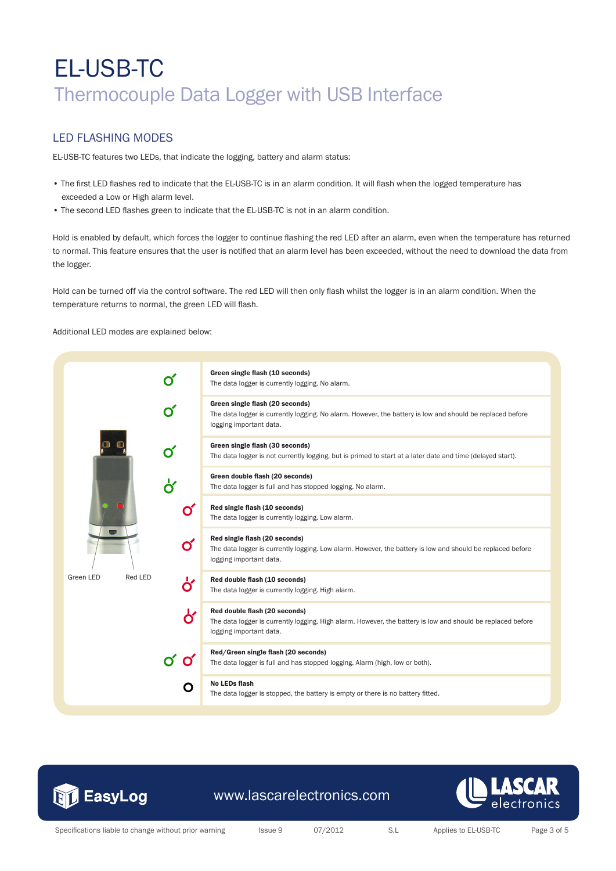#### LED FLASHING MODES

EL-USB-TC features two LEDs, that indicate the logging, battery and alarm status:

- The first LED flashes red to indicate that the EL-USB-TC is in an alarm condition. It will flash when the logged temperature has exceeded a Low or High alarm level.
- The second LED flashes green to indicate that the EL-USB-TC is not in an alarm condition.

Hold is enabled by default, which forces the logger to continue flashing the red LED after an alarm, even when the temperature has returned to normal. This feature ensures that the user is notified that an alarm level has been exceeded, without the need to download the data from the logger.

Hold can be turned off via the control software. The red LED will then only flash whilst the logger is in an alarm condition. When the temperature returns to normal, the green LED will flash.

Additional LED modes are explained below:





### www.lascarelectronics.com



Specifications liable to change without prior warning Issue 9 07/2012 S.L Applies to EL-USB-TC Page 3 of 5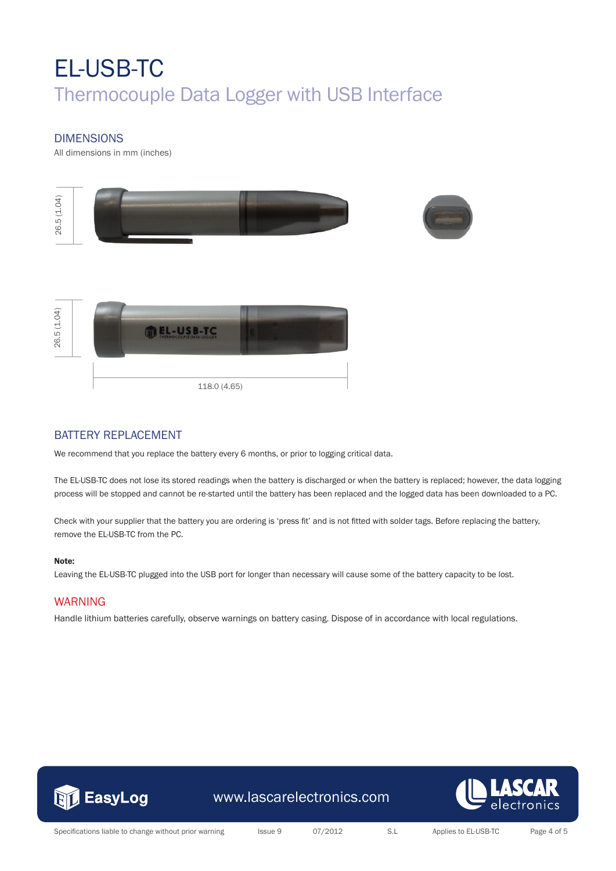#### DIMENSIONS

All dimensions in mm (inches)



118.0 (4.65)

#### BATTERY REPLACEMENT

We recommend that you replace the battery every 6 months, or prior to logging critical data.

The EL-USB-TC does not lose its stored readings when the battery is discharged or when the battery is replaced; however, the data logging process will be stopped and cannot be re-started until the battery has been replaced and the logged data has been downloaded to a PC.

Check with your supplier that the battery you are ordering is 'press fit' and is not fitted with solder tags. Before replacing the battery, remove the EL-USB-TC from the PC.

#### Note:

Leaving the EL-USB-TC plugged into the USB port for longer than necessary will cause some of the battery capacity to be lost.

#### WARNING

Handle lithium batteries carefully, observe warnings on battery casing. Dispose of in accordance with local regulations.



www.lascarelectronics.com



Specifications liable to change without prior warning Issue 9 07/2012 S.L Applies to EL-USB-TC Page 4 of 5